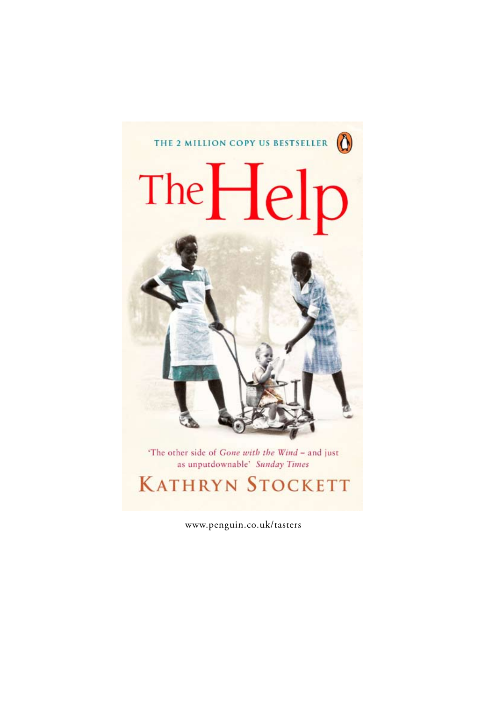

'The other side of Gone with the Wind - and just as unputdownable' Sunday Times

**KATHRYN STOCKETT** 

www.penguin.co.uk/tasters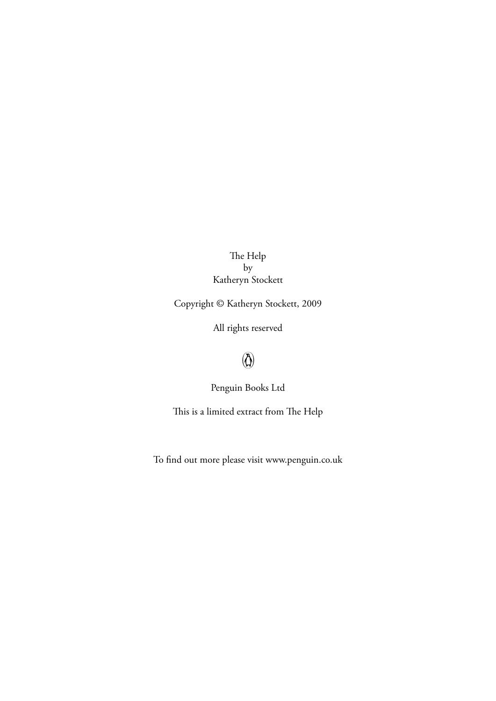## The Help by Katheryn Stockett

Copyright © Katheryn Stockett, 2009

All rights reserved

# $\left(\bigwedge\limits^{\infty}\right)$

Penguin Books Ltd

This is a limited extract from The Help

To find out more please visit www.penguin.co.uk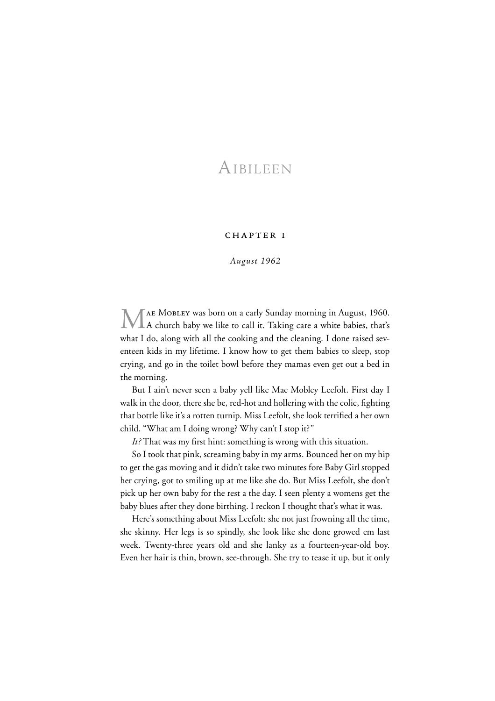# **AIBILEEN**

### chapter 1

#### *August 1962*

Mae Mobley was born on a early Sunday morning in August, 1960.  $\perp$ A church baby we like to call it. Taking care a white babies, that's what I do, along with all the cooking and the cleaning. I done raised seventeen kids in my lifetime. I know how to get them babies to sleep, stop crying, and go in the toilet bowl before they mamas even get out a bed in the morning.

But I ain't never seen a baby yell like Mae Mobley Leefolt. First day I walk in the door, there she be, red-hot and hollering with the colic, fighting that bottle like it's a rotten turnip. Miss Leefolt, she look terrified a her own child. "What am I doing wrong? Why can't I stop it?"

*It?* That was my first hint: something is wrong with this situation.

So I took that pink, screaming baby in my arms. Bounced her on my hip to get the gas moving and it didn't take two minutes fore Baby Girl stopped her crying, got to smiling up at me like she do. But Miss Leefolt, she don't pick up her own baby for the rest a the day. I seen plenty a womens get the baby blues after they done birthing. I reckon I thought that's what it was.

Here's something about Miss Leefolt: she not just frowning all the time, she skinny. Her legs is so spindly, she look like she done growed em last week. Twenty-three years old and she lanky as a fourteen-year-old boy. Even her hair is thin, brown, see- through. She try to tease it up, but it only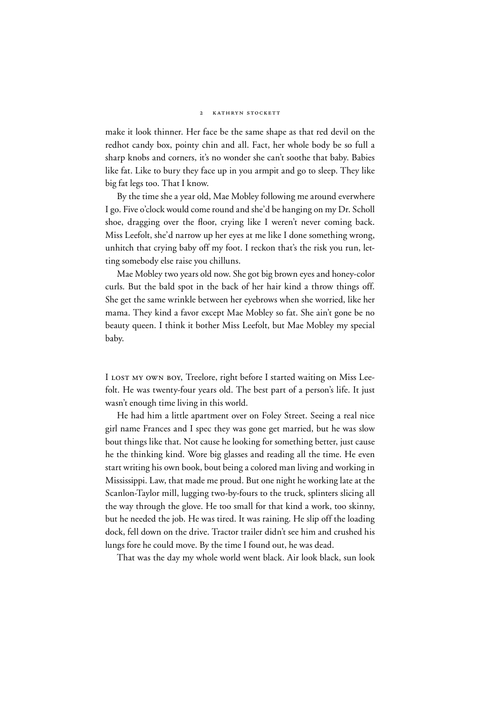make it look thinner. Her face be the same shape as that red devil on the redhot candy box, pointy chin and all. Fact, her whole body be so full a sharp knobs and corners, it's no wonder she can't soothe that baby. Babies like fat. Like to bury they face up in you armpit and go to sleep. They like big fat legs too. That I know.

By the time she a year old, Mae Mobley following me around everwhere I go. Five o'clock would come round and she'd be hanging on my Dr. Scholl shoe, dragging over the floor, crying like I weren't never coming back. Miss Leefolt, she'd narrow up her eyes at me like I done something wrong, unhitch that crying baby off my foot. I reckon that's the risk you run, letting somebody else raise you chilluns.

Mae Mobley two years old now. She got big brown eyes and honey- color curls. But the bald spot in the back of her hair kind a throw things off. She get the same wrinkle between her eyebrows when she worried, like her mama. They kind a favor except Mae Mobley so fat. She ain't gone be no beauty queen. I think it bother Miss Leefolt, but Mae Mobley my special baby.

I LOST MY OWN BOY, Treelore, right before I started waiting on Miss Leefolt. He was twenty-four years old. The best part of a person's life. It just wasn't enough time living in this world.

He had him a little apartment over on Foley Street. Seeing a real nice girl name Frances and I spec they was gone get married, but he was slow bout things like that. Not cause he looking for something better, just cause he the thinking kind. Wore big glasses and reading all the time. He even start writing his own book, bout being a colored man living and working in Mississippi. Law, that made me proud. But one night he working late at the Scanlon-Taylor mill, lugging two-by-fours to the truck, splinters slicing all the way through the glove. He too small for that kind a work, too skinny, but he needed the job. He was tired. It was raining. He slip off the loading dock, fell down on the drive. Tractor trailer didn't see him and crushed his lungs fore he could move. By the time I found out, he was dead.

That was the day my whole world went black. Air look black, sun look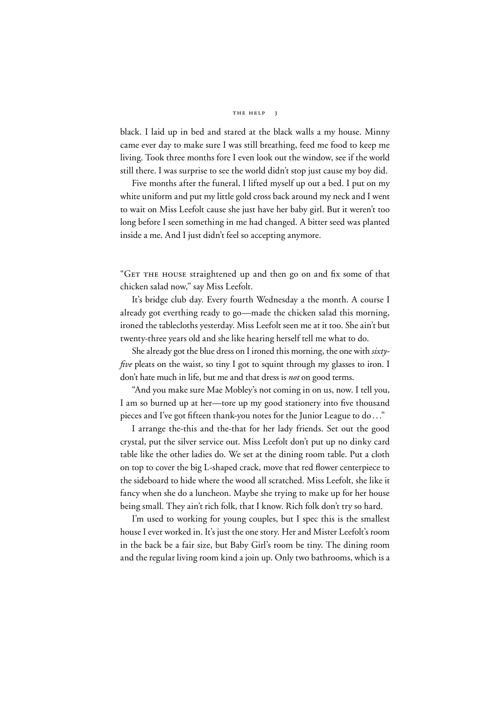black. I laid up in bed and stared at the black walls a my house. Minny came ever day to make sure I was still breathing, feed me food to keep me living. Took three months fore I even look out the window, see if the world still there. I was surprise to see the world didn't stop just cause my boy did.

Five months after the funeral, I lifted myself up out a bed. I put on my white uniform and put my little gold cross back around my neck and I went to wait on Miss Leefolt cause she just have her baby girl. But it weren't too long before I seen something in me had changed. A bitter seed was planted inside a me. And I just didn't feel so accepting anymore.

"GET THE HOUSE straightened up and then go on and fix some of that chicken salad now," say Miss Leefolt.

It's bridge club day. Every fourth Wednesday a the month. A course I already got everthing ready to go— made the chicken salad this morning, ironed the tablecloths yesterday. Miss Leefolt seen me at it too. She ain't but twenty- three years old and she like hearing herself tell me what to do.

She already got the blue dress on I ironed this morning, the one with *sixty five* pleats on the waist, so tiny I got to squint through my glasses to iron. I don't hate much in life, but me and that dress is *not* on good terms.

"And you make sure Mae Mobley's not coming in on us, now. I tell you, I am so burned up at her—tore up my good stationery into five thousand pieces and I've got fifteen thank-you notes for the Junior League to do ..."

I arrange the-this and the-that for her lady friends. Set out the good crystal, put the silver service out. Miss Leefolt don't put up no dinky card table like the other ladies do. We set at the dining room table. Put a cloth on top to cover the big L-shaped crack, move that red flower centerpiece to the sideboard to hide where the wood all scratched. Miss Leefolt, she like it fancy when she do a luncheon. Maybe she trying to make up for her house being small. They ain't rich folk, that I know. Rich folk don't try so hard.

I'm used to working for young couples, but I spec this is the smallest house I ever worked in. It's just the one story. Her and Mister Leefolt's room in the back be a fair size, but Baby Girl's room be tiny. The dining room and the regular living room kind a join up. Only two bathrooms, which is a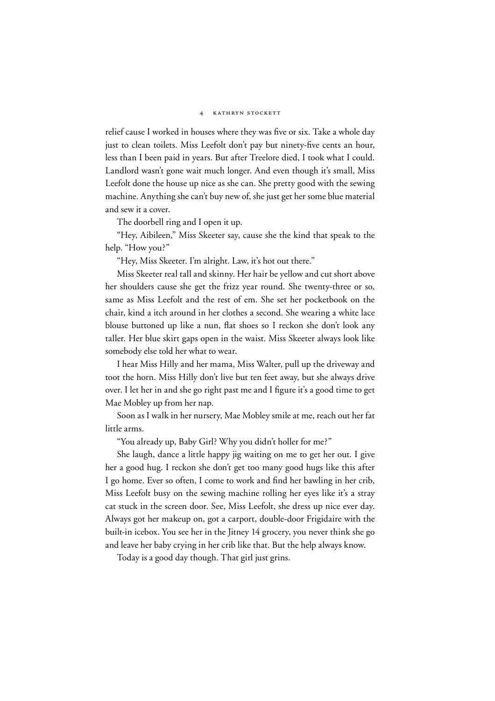relief cause I worked in houses where they was five or six. Take a whole day just to clean toilets. Miss Leefolt don't pay but ninety-five cents an hour, less than I been paid in years. But after Treelore died, I took what I could. Landlord wasn't gone wait much longer. And even though it's small, Miss Leefolt done the house up nice as she can. She pretty good with the sewing machine. Anything she can't buy new of, she just get her some blue material and sew it a cover.

The doorbell ring and I open it up.

"Hey, Aibileen," Miss Skeeter say, cause she the kind that speak to the help. "How you?"

"Hey, Miss Skeeter. I'm alright. Law, it's hot out there."

Miss Skeeter real tall and skinny. Her hair be yellow and cut short above her shoulders cause she get the frizz year round. She twenty- three or so, same as Miss Leefolt and the rest of em. She set her pocketbook on the chair, kind a itch around in her clothes a second. She wearing a white lace blouse buttoned up like a nun, flat shoes so I reckon she don't look any taller. Her blue skirt gaps open in the waist. Miss Skeeter always look like somebody else told her what to wear.

I hear Miss Hilly and her mama, Miss Walter, pull up the driveway and toot the horn. Miss Hilly don't live but ten feet away, but she always drive over. I let her in and she go right past me and I figure it's a good time to get Mae Mobley up from her nap.

Soon as I walk in her nursery, Mae Mobley smile at me, reach out her fat little arms.

"You already up, Baby Girl? Why you didn't holler for me?"

She laugh, dance a little happy jig waiting on me to get her out. I give her a good hug. I reckon she don't get too many good hugs like this after I go home. Ever so often, I come to work and find her bawling in her crib, Miss Leefolt busy on the sewing machine rolling her eyes like it's a stray cat stuck in the screen door. See, Miss Leefolt, she dress up nice ever day. Always got her makeup on, got a carport, double- door Frigidaire with the built-in icebox. You see her in the Jitney 14 grocery, you never think she go and leave her baby crying in her crib like that. But the help always know.

Today is a good day though. That girl just grins.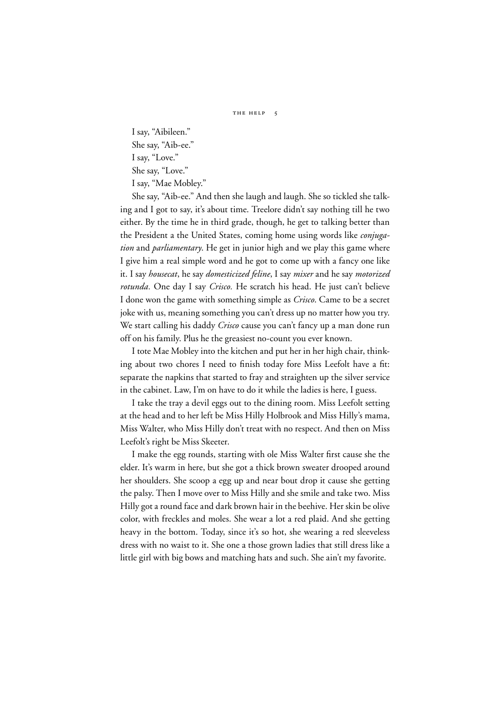I say, "Aibileen." She say, "Aib-ee." I say, "Love." She say, "Love." I say, "Mae Mobley."

She say, "Aib-ee." And then she laugh and laugh. She so tickled she talking and I got to say, it's about time. Treelore didn't say nothing till he two either. By the time he in third grade, though, he get to talking better than the President a the United States, coming home using words like *conjugation* and *parliamentary*. He get in junior high and we play this game where I give him a real simple word and he got to come up with a fancy one like it. I say *housecat*, he say *domesticized feline*, I say *mixer* and he say *motorized rotunda.* One day I say *Crisco.* He scratch his head. He just can't believe I done won the game with something simple as *Crisco*. Came to be a secret joke with us, meaning something you can't dress up no matter how you try. We start calling his daddy *Crisco* cause you can't fancy up a man done run off on his family. Plus he the greasiest no- count you ever known.

I tote Mae Mobley into the kitchen and put her in her high chair, thinking about two chores I need to finish today fore Miss Leefolt have a fit: separate the napkins that started to fray and straighten up the silver service in the cabinet. Law, I'm on have to do it while the ladies is here, I guess.

I take the tray a devil eggs out to the dining room. Miss Leefolt setting at the head and to her left be Miss Hilly Holbrook and Miss Hilly's mama, Miss Walter, who Miss Hilly don't treat with no respect. And then on Miss Leefolt's right be Miss Skeeter.

I make the egg rounds, starting with ole Miss Walter first cause she the elder. It's warm in here, but she got a thick brown sweater drooped around her shoulders. She scoop a egg up and near bout drop it cause she getting the palsy. Then I move over to Miss Hilly and she smile and take two. Miss Hilly got a round face and dark brown hair in the beehive. Her skin be olive color, with freckles and moles. She wear a lot a red plaid. And she getting heavy in the bottom. Today, since it's so hot, she wearing a red sleeveless dress with no waist to it. She one a those grown ladies that still dress like a little girl with big bows and matching hats and such. She ain't my favorite.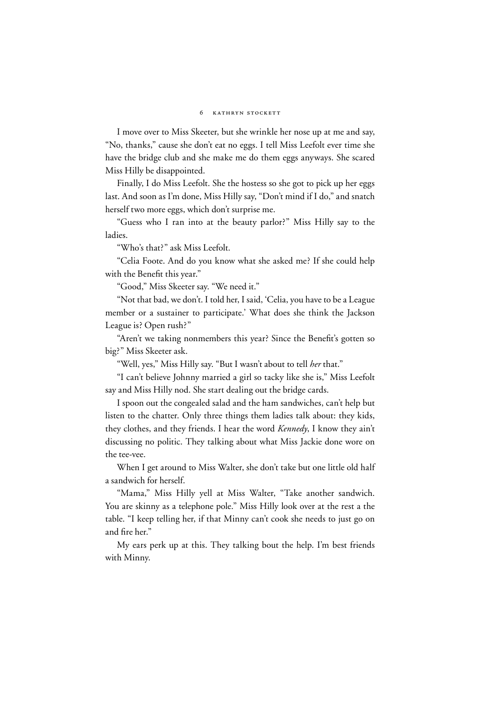I move over to Miss Skeeter, but she wrinkle her nose up at me and say, "No, thanks," cause she don't eat no eggs. I tell Miss Leefolt ever time she have the bridge club and she make me do them eggs anyways. She scared Miss Hilly be disappointed.

Finally, I do Miss Leefolt. She the hostess so she got to pick up her eggs last. And soon as I'm done, Miss Hilly say, "Don't mind if I do," and snatch herself two more eggs, which don't surprise me.

"Guess who I ran into at the beauty parlor?" Miss Hilly say to the ladies.

"Who's that?" ask Miss Leefolt.

"Celia Foote. And do you know what she asked me? If she could help with the Benefit this year."

"Good," Miss Skeeter say. "We need it."

"Not that bad, we don't. I told her, I said, 'Celia, you have to be a League member or a sustainer to participate.' What does she think the Jackson League is? Open rush?"

"Aren't we taking nonmembers this year? Since the Benefit's gotten so big?" Miss Skeeter ask.

"Well, yes," Miss Hilly say. "But I wasn't about to tell *her* that."

"I can't believe Johnny married a girl so tacky like she is," Miss Leefolt say and Miss Hilly nod. She start dealing out the bridge cards.

I spoon out the congealed salad and the ham sandwiches, can't help but listen to the chatter. Only three things them ladies talk about: they kids, they clothes, and they friends. I hear the word *Kennedy*, I know they ain't discussing no politic. They talking about what Miss Jackie done wore on the tee-vee.

When I get around to Miss Walter, she don't take but one little old half a sandwich for herself.

"Mama," Miss Hilly yell at Miss Walter, "Take another sandwich. You are skinny as a telephone pole." Miss Hilly look over at the rest a the table. "I keep telling her, if that Minny can't cook she needs to just go on and fire her."

My ears perk up at this. They talking bout the help. I'm best friends with Minny.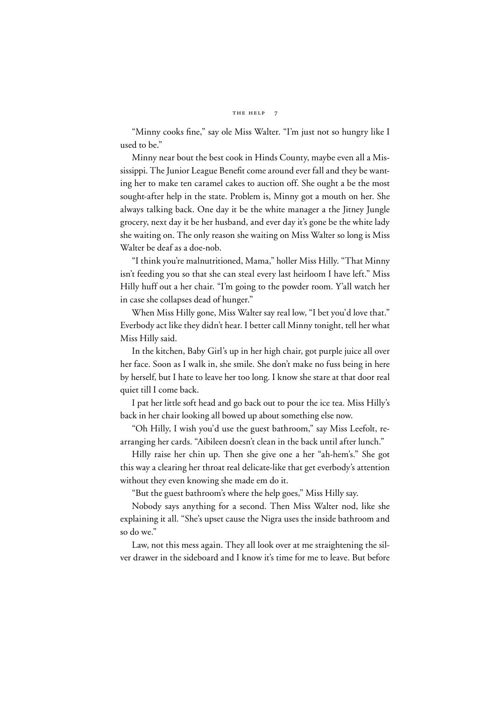"Minny cooks fine," say ole Miss Walter. "I'm just not so hungry like I used to be."

Minny near bout the best cook in Hinds County, maybe even all a Mississippi. The Junior League Benefit come around ever fall and they be wanting her to make ten caramel cakes to auction off. She ought a be the most sought-after help in the state. Problem is, Minny got a mouth on her. She always talking back. One day it be the white manager a the Jitney Jungle grocery, next day it be her husband, and ever day it's gone be the white lady she waiting on. The only reason she waiting on Miss Walter so long is Miss Walter be deaf as a doe-nob.

"I think you're malnutritioned, Mama," holler Miss Hilly. "That Minny isn't feeding you so that she can steal every last heirloom I have left." Miss Hilly huff out a her chair. "I'm going to the powder room. Y'all watch her in case she collapses dead of hunger."

When Miss Hilly gone, Miss Walter say real low, "I bet you'd love that." Everbody act like they didn't hear. I better call Minny tonight, tell her what Miss Hilly said.

In the kitchen, Baby Girl's up in her high chair, got purple juice all over her face. Soon as I walk in, she smile. She don't make no fuss being in here by herself, but I hate to leave her too long. I know she stare at that door real quiet till I come back.

I pat her little soft head and go back out to pour the ice tea. Miss Hilly's back in her chair looking all bowed up about something else now.

"Oh Hilly, I wish you'd use the guest bathroom," say Miss Leefolt, rearranging her cards. "Aibileen doesn't clean in the back until after lunch."

Hilly raise her chin up. Then she give one a her "ah-hem's." She got this way a clearing her throat real delicate-like that get everbody's attention without they even knowing she made em do it.

"But the guest bathroom's where the help goes," Miss Hilly say.

Nobody says anything for a second. Then Miss Walter nod, like she explaining it all. "She's upset cause the Nigra uses the inside bathroom and so do we."

Law, not this mess again. They all look over at me straightening the silver drawer in the sideboard and I know it's time for me to leave. But before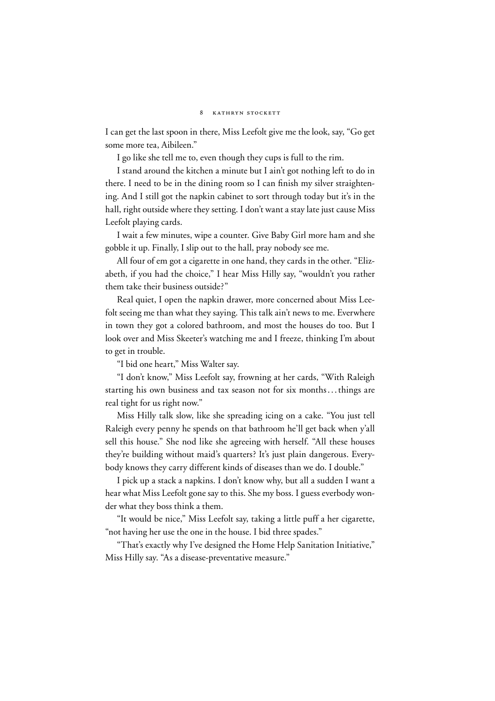I can get the last spoon in there, Miss Leefolt give me the look, say, "Go get some more tea, Aibileen."

I go like she tell me to, even though they cups is full to the rim.

I stand around the kitchen a minute but I ain't got nothing left to do in there. I need to be in the dining room so I can finish my silver straightening. And I still got the napkin cabinet to sort through today but it's in the hall, right outside where they setting. I don't want a stay late just cause Miss Leefolt playing cards.

I wait a few minutes, wipe a counter. Give Baby Girl more ham and she gobble it up. Finally, I slip out to the hall, pray nobody see me.

All four of em got a cigarette in one hand, they cards in the other. "Elizabeth, if you had the choice," I hear Miss Hilly say, "wouldn't you rather them take their business outside?"

Real quiet, I open the napkin drawer, more concerned about Miss Leefolt seeing me than what they saying. This talk ain't news to me. Everwhere in town they got a colored bathroom, and most the houses do too. But I look over and Miss Skeeter's watching me and I freeze, thinking I'm about to get in trouble.

"I bid one heart," Miss Walter say.

"I don't know," Miss Leefolt say, frowning at her cards, "With Raleigh starting his own business and tax season not for six months . . . things are real tight for us right now."

Miss Hilly talk slow, like she spreading icing on a cake. "You just tell Raleigh every penny he spends on that bathroom he'll get back when y'all sell this house." She nod like she agreeing with herself. "All these houses they're building without maid's quarters? It's just plain dangerous. Everybody knows they carry different kinds of diseases than we do. I double."

I pick up a stack a napkins. I don't know why, but all a sudden I want a hear what Miss Leefolt gone say to this. She my boss. I guess everbody wonder what they boss think a them.

"It would be nice," Miss Leefolt say, taking a little puff a her cigarette, "not having her use the one in the house. I bid three spades."

"That's exactly why I've designed the Home Help Sanitation Initiative," Miss Hilly say. "As a disease-preventative measure."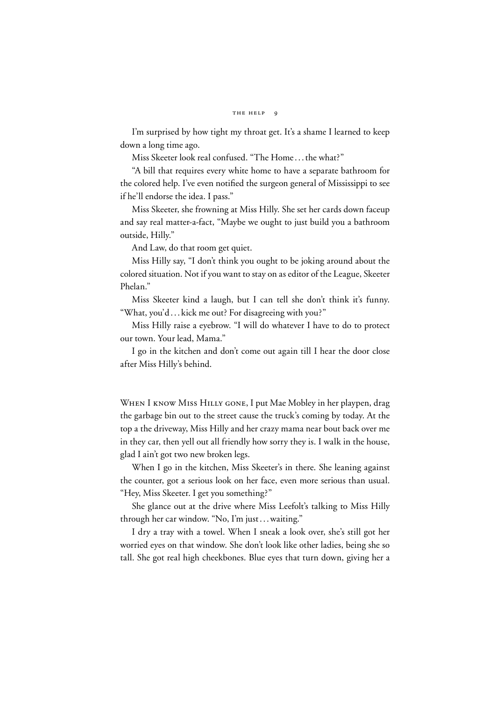I'm surprised by how tight my throat get. It's a shame I learned to keep down a long time ago.

Miss Skeeter look real confused. "The Home . . . the what?"

"A bill that requires every white home to have a separate bathroom for the colored help. I've even notified the surgeon general of Mississippi to see if he'll endorse the idea. I pass."

Miss Skeeter, she frowning at Miss Hilly. She set her cards down faceup and say real matter-a-fact, "Maybe we ought to just build you a bathroom outside, Hilly."

And Law, do that room get quiet.

Miss Hilly say, "I don't think you ought to be joking around about the colored situation. Not if you want to stay on as editor of the League, Skeeter Phelan."

Miss Skeeter kind a laugh, but I can tell she don't think it's funny. "What, you'd . . . kick me out? For disagreeing with you?"

Miss Hilly raise a eyebrow. "I will do whatever I have to do to protect our town. Your lead, Mama."

I go in the kitchen and don't come out again till I hear the door close after Miss Hilly's behind.

WHEN I KNOW MISS HILLY GONE, I put Mae Mobley in her playpen, drag the garbage bin out to the street cause the truck's coming by today. At the top a the driveway, Miss Hilly and her crazy mama near bout back over me in they car, then yell out all friendly how sorry they is. I walk in the house, glad I ain't got two new broken legs.

When I go in the kitchen, Miss Skeeter's in there. She leaning against the counter, got a serious look on her face, even more serious than usual. "Hey, Miss Skeeter. I get you something?"

She glance out at the drive where Miss Leefolt's talking to Miss Hilly through her car window. "No, I'm just . . . waiting."

I dry a tray with a towel. When I sneak a look over, she's still got her worried eyes on that window. She don't look like other ladies, being she so tall. She got real high cheekbones. Blue eyes that turn down, giving her a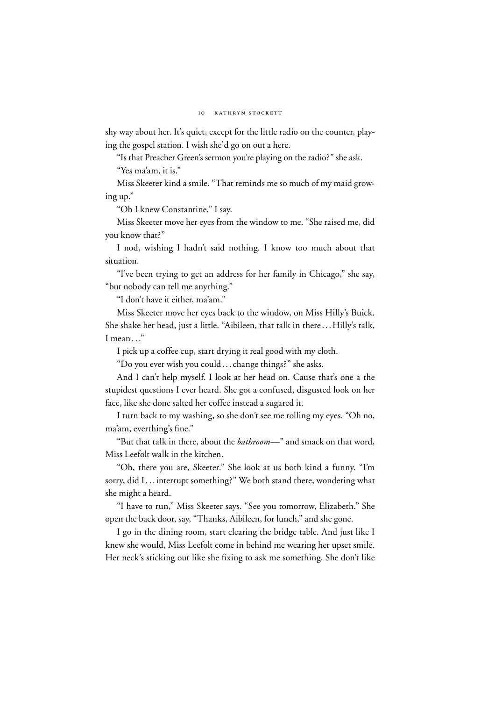shy way about her. It's quiet, except for the little radio on the counter, playing the gospel station. I wish she'd go on out a here.

"Is that Preacher Green's sermon you're playing on the radio?" she ask.

"Yes ma'am, it is."

Miss Skeeter kind a smile. "That reminds me so much of my maid growing up."

"Oh I knew Constantine," I say.

Miss Skeeter move her eyes from the window to me. "She raised me, did you know that?"

I nod, wishing I hadn't said nothing. I know too much about that situation.

"I've been trying to get an address for her family in Chicago," she say, "but nobody can tell me anything."

"I don't have it either, ma'am."

Miss Skeeter move her eyes back to the window, on Miss Hilly's Buick. She shake her head, just a little. "Aibileen, that talk in there . . . Hilly's talk, I mean . . ."

I pick up a coffee cup, start drying it real good with my cloth.

"Do you ever wish you could . . . change things?" she asks.

And I can't help myself. I look at her head on. Cause that's one a the stupidest questions I ever heard. She got a confused, disgusted look on her face, like she done salted her coffee instead a sugared it.

I turn back to my washing, so she don't see me rolling my eyes. "Oh no, ma'am, everthing's fine."

"But that talk in there, about the *bathroom*— " and smack on that word, Miss Leefolt walk in the kitchen.

"Oh, there you are, Skeeter." She look at us both kind a funny. "I'm sorry, did I... interrupt something?" We both stand there, wondering what she might a heard.

"I have to run," Miss Skeeter says. "See you tomorrow, Elizabeth." She open the back door, say, "Thanks, Aibileen, for lunch," and she gone.

I go in the dining room, start clearing the bridge table. And just like I knew she would, Miss Leefolt come in behind me wearing her upset smile. Her neck's sticking out like she fixing to ask me something. She don't like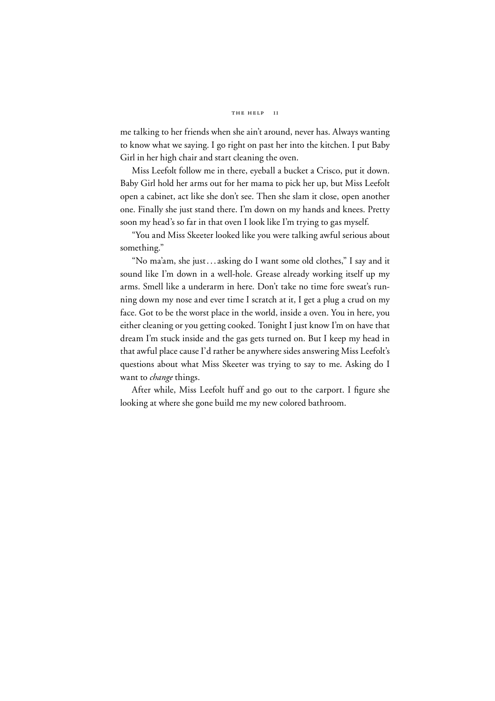me talking to her friends when she ain't around, never has. Always wanting to know what we saying. I go right on past her into the kitchen. I put Baby Girl in her high chair and start cleaning the oven.

Miss Leefolt follow me in there, eyeball a bucket a Crisco, put it down. Baby Girl hold her arms out for her mama to pick her up, but Miss Leefolt open a cabinet, act like she don't see. Then she slam it close, open another one. Finally she just stand there. I'm down on my hands and knees. Pretty soon my head's so far in that oven I look like I'm trying to gas myself.

"You and Miss Skeeter looked like you were talking awful serious about something."

"No ma'am, she just . . . asking do I want some old clothes," I say and it sound like I'm down in a well-hole. Grease already working itself up my arms. Smell like a underarm in here. Don't take no time fore sweat's running down my nose and ever time I scratch at it, I get a plug a crud on my face. Got to be the worst place in the world, inside a oven. You in here, you either cleaning or you getting cooked. Tonight I just know I'm on have that dream I'm stuck inside and the gas gets turned on. But I keep my head in that awful place cause I'd rather be anywhere sides answering Miss Leefolt's questions about what Miss Skeeter was trying to say to me. Asking do I want to *change* things.

After while, Miss Leefolt huff and go out to the carport. I figure she looking at where she gone build me my new colored bathroom.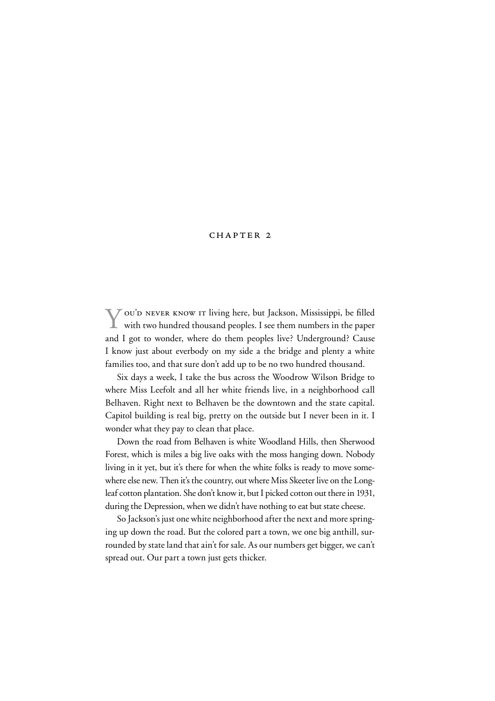### chapter 2

V OU'D NEVER KNOW IT living here, but Jackson, Mississippi, be filled with two hundred thousand peoples. I see them numbers in the paper and I got to wonder, where do them peoples live? Underground? Cause I know just about everbody on my side a the bridge and plenty a white families too, and that sure don't add up to be no two hundred thousand.

Six days a week, I take the bus across the Woodrow Wilson Bridge to where Miss Leefolt and all her white friends live, in a neighborhood call Belhaven. Right next to Belhaven be the downtown and the state capital. Capitol building is real big, pretty on the outside but I never been in it. I wonder what they pay to clean that place.

Down the road from Belhaven is white Woodland Hills, then Sherwood Forest, which is miles a big live oaks with the moss hanging down. Nobody living in it yet, but it's there for when the white folks is ready to move somewhere else new. Then it's the country, out where Miss Skeeter live on the Longleaf cotton plantation. She don't know it, but I picked cotton out there in 1931, during the Depression, when we didn't have nothing to eat but state cheese.

So Jackson's just one white neighborhood after the next and more springing up down the road. But the colored part a town, we one big anthill, surrounded by state land that ain't for sale. As our numbers get bigger, we can't spread out. Our part a town just gets thicker.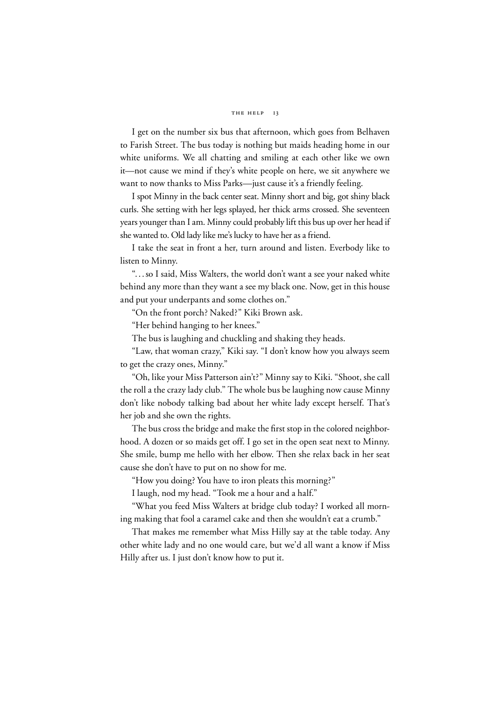I get on the number six bus that afternoon, which goes from Belhaven to Farish Street. The bus today is nothing but maids heading home in our white uniforms. We all chatting and smiling at each other like we own it— not cause we mind if they's white people on here, we sit anywhere we want to now thanks to Miss Parks—just cause it's a friendly feeling.

I spot Minny in the back center seat. Minny short and big, got shiny black curls. She setting with her legs splayed, her thick arms crossed. She seventeen years younger than I am. Minny could probably lift this bus up over her head if she wanted to. Old lady like me's lucky to have her as a friend.

I take the seat in front a her, turn around and listen. Everbody like to listen to Minny.

". . . so I said, Miss Walters, the world don't want a see your naked white behind any more than they want a see my black one. Now, get in this house and put your underpants and some clothes on."

"On the front porch? Naked?" Kiki Brown ask.

"Her behind hanging to her knees."

The bus is laughing and chuckling and shaking they heads.

"Law, that woman crazy," Kiki say. "I don't know how you always seem to get the crazy ones, Minny."

"Oh, like your Miss Patterson ain't?" Minny say to Kiki. "Shoot, she call the roll a the crazy lady club." The whole bus be laughing now cause Minny don't like nobody talking bad about her white lady except herself. That's her job and she own the rights.

The bus cross the bridge and make the first stop in the colored neighborhood. A dozen or so maids get off. I go set in the open seat next to Minny. She smile, bump me hello with her elbow. Then she relax back in her seat cause she don't have to put on no show for me.

"How you doing? You have to iron pleats this morning?"

I laugh, nod my head. "Took me a hour and a half."

"What you feed Miss Walters at bridge club today? I worked all morning making that fool a caramel cake and then she wouldn't eat a crumb."

That makes me remember what Miss Hilly say at the table today. Any other white lady and no one would care, but we'd all want a know if Miss Hilly after us. I just don't know how to put it.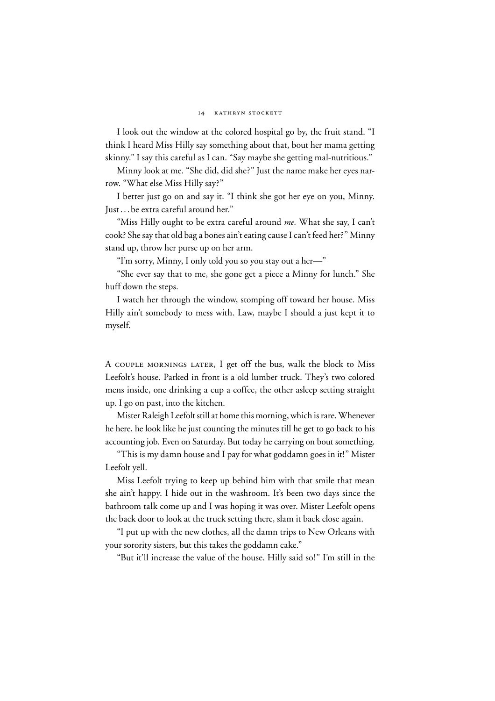I look out the window at the colored hospital go by, the fruit stand. "I think I heard Miss Hilly say something about that, bout her mama getting skinny." I say this careful as I can. "Say maybe she getting mal-nutritious."

Minny look at me. "She did, did she?" Just the name make her eyes narrow. "What else Miss Hilly say?"

I better just go on and say it. "I think she got her eye on you, Minny. Just . . . be extra careful around her."

"Miss Hilly ought to be extra careful around *me.* What she say, I can't cook? She say that old bag a bones ain't eating cause I can't feed her?" Minny stand up, throw her purse up on her arm.

"I'm sorry, Minny, I only told you so you stay out a her— "

"She ever say that to me, she gone get a piece a Minny for lunch." She huff down the steps.

I watch her through the window, stomping off toward her house. Miss Hilly ain't somebody to mess with. Law, maybe I should a just kept it to myself.

A couple mornings later, I get off the bus, walk the block to Miss Leefolt's house. Parked in front is a old lumber truck. They's two colored mens inside, one drinking a cup a coffee, the other asleep setting straight up. I go on past, into the kitchen.

Mister Raleigh Leefolt still at home this morning, which is rare. Whenever he here, he look like he just counting the minutes till he get to go back to his accounting job. Even on Saturday. But today he carrying on bout something.

"This is my damn house and I pay for what goddamn goes in it!" Mister Leefolt yell.

Miss Leefolt trying to keep up behind him with that smile that mean she ain't happy. I hide out in the washroom. It's been two days since the bathroom talk come up and I was hoping it was over. Mister Leefolt opens the back door to look at the truck setting there, slam it back close again.

"I put up with the new clothes, all the damn trips to New Orleans with your sorority sisters, but this takes the goddamn cake."

"But it'll increase the value of the house. Hilly said so!" I'm still in the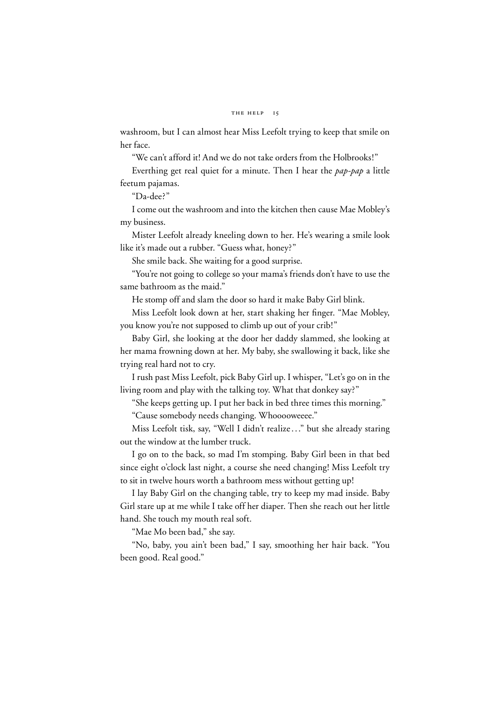washroom, but I can almost hear Miss Leefolt trying to keep that smile on her face.

"We can't afford it! And we do not take orders from the Holbrooks!"

Everthing get real quiet for a minute. Then I hear the *pap-pap* a little feetum pajamas.

" Da- dee?"

I come out the washroom and into the kitchen then cause Mae Mobley's my business.

Mister Leefolt already kneeling down to her. He's wearing a smile look like it's made out a rubber. "Guess what, honey?"

She smile back. She waiting for a good surprise.

"You're not going to college so your mama's friends don't have to use the same bathroom as the maid."

He stomp off and slam the door so hard it make Baby Girl blink.

Miss Leefolt look down at her, start shaking her finger. "Mae Mobley, you know you're not supposed to climb up out of your crib!"

Baby Girl, she looking at the door her daddy slammed, she looking at her mama frowning down at her. My baby, she swallowing it back, like she trying real hard not to cry.

I rush past Miss Leefolt, pick Baby Girl up. I whisper, "Let's go on in the living room and play with the talking toy. What that donkey say?"

"She keeps getting up. I put her back in bed three times this morning."

"Cause somebody needs changing. Whooooweeee."

Miss Leefolt tisk, say, "Well I didn't realize . . ." but she already staring out the window at the lumber truck.

I go on to the back, so mad I'm stomping. Baby Girl been in that bed since eight o'clock last night, a course she need changing! Miss Leefolt try to sit in twelve hours worth a bathroom mess without getting up!

I lay Baby Girl on the changing table, try to keep my mad inside. Baby Girl stare up at me while I take off her diaper. Then she reach out her little hand. She touch my mouth real soft.

"Mae Mo been bad," she say.

"No, baby, you ain't been bad," I say, smoothing her hair back. "You been good. Real good."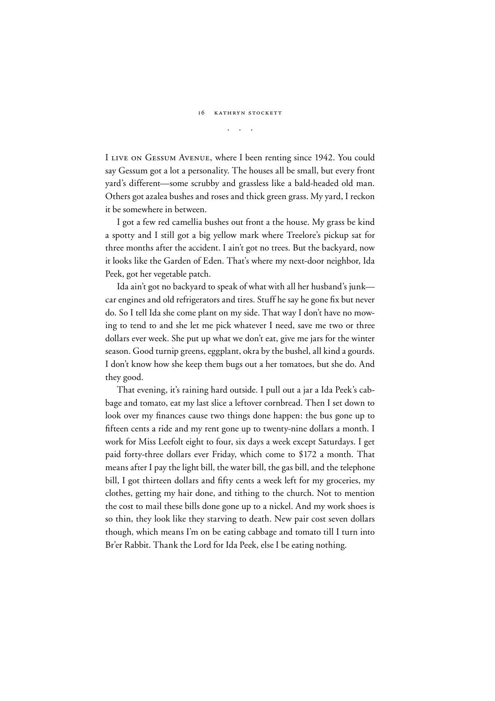. . .

I live on Gessum Avenue, where I been renting since 1942. You could say Gessum got a lot a personality. The houses all be small, but every front yard's different-some scrubby and grassless like a bald-headed old man. Others got azalea bushes and roses and thick green grass. My yard, I reckon it be somewhere in between.

I got a few red camellia bushes out front a the house. My grass be kind a spotty and I still got a big yellow mark where Treelore's pickup sat for three months after the accident. I ain't got no trees. But the backyard, now it looks like the Garden of Eden. That's where my next- door neighbor, Ida Peek, got her vegetable patch.

Ida ain't got no backyard to speak of what with all her husband's junk car engines and old refrigerators and tires. Stuff he say he gone fix but never do. So I tell Ida she come plant on my side. That way I don't have no mowing to tend to and she let me pick whatever I need, save me two or three dollars ever week. She put up what we don't eat, give me jars for the winter season. Good turnip greens, eggplant, okra by the bushel, all kind a gourds. I don't know how she keep them bugs out a her tomatoes, but she do. And they good.

That evening, it's raining hard outside. I pull out a jar a Ida Peek's cabbage and tomato, eat my last slice a leftover cornbread. Then I set down to look over my finances cause two things done happen: the bus gone up to fifteen cents a ride and my rent gone up to twenty-nine dollars a month. I work for Miss Leefolt eight to four, six days a week except Saturdays. I get paid forty-three dollars ever Friday, which come to \$172 a month. That means after I pay the light bill, the water bill, the gas bill, and the telephone bill, I got thirteen dollars and fifty cents a week left for my groceries, my clothes, getting my hair done, and tithing to the church. Not to mention the cost to mail these bills done gone up to a nickel. And my work shoes is so thin, they look like they starving to death. New pair cost seven dollars though, which means I'm on be eating cabbage and tomato till I turn into Br'er Rabbit. Thank the Lord for Ida Peek, else I be eating nothing.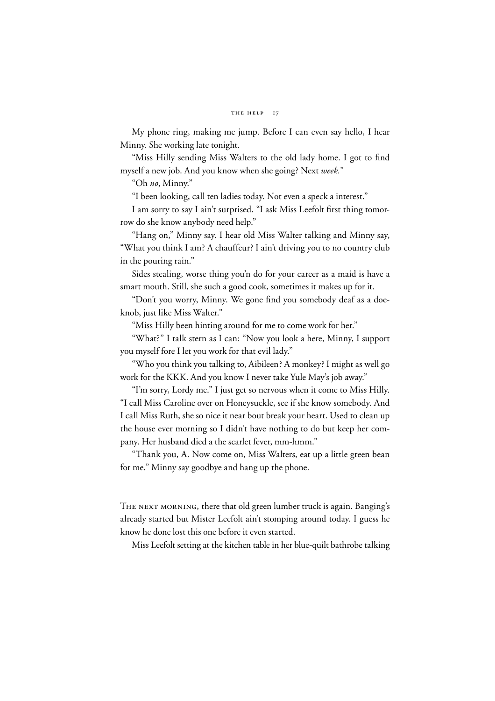My phone ring, making me jump. Before I can even say hello, I hear Minny. She working late tonight.

"Miss Hilly sending Miss Walters to the old lady home. I got to find myself a new job. And you know when she going? Next *week.*"

"Oh *no*, Minny."

"I been looking, call ten ladies today. Not even a speck a interest."

I am sorry to say I ain't surprised. "I ask Miss Leefolt first thing tomorrow do she know anybody need help."

"Hang on," Minny say. I hear old Miss Walter talking and Minny say, "What you think I am? A chauffeur? I ain't driving you to no country club in the pouring rain."

Sides stealing, worse thing you'n do for your career as a maid is have a smart mouth. Still, she such a good cook, sometimes it makes up for it.

"Don't you worry, Minny. We gone find you somebody deaf as a doeknob, just like Miss Walter."

"Miss Hilly been hinting around for me to come work for her."

"What?" I talk stern as I can: "Now you look a here, Minny, I support you myself fore I let you work for that evil lady."

"Who you think you talking to, Aibileen? A monkey? I might as well go work for the KKK. And you know I never take Yule May's job away."

"I'm sorry, Lordy me." I just get so nervous when it come to Miss Hilly. "I call Miss Caroline over on Honeysuckle, see if she know somebody. And I call Miss Ruth, she so nice it near bout break your heart. Used to clean up the house ever morning so I didn't have nothing to do but keep her company. Her husband died a the scarlet fever, mm-hmm."

"Thank you, A. Now come on, Miss Walters, eat up a little green bean for me." Minny say goodbye and hang up the phone.

THE NEXT MORNING, there that old green lumber truck is again. Banging's already started but Mister Leefolt ain't stomping around today. I guess he know he done lost this one before it even started.

Miss Leefolt setting at the kitchen table in her blue- quilt bathrobe talking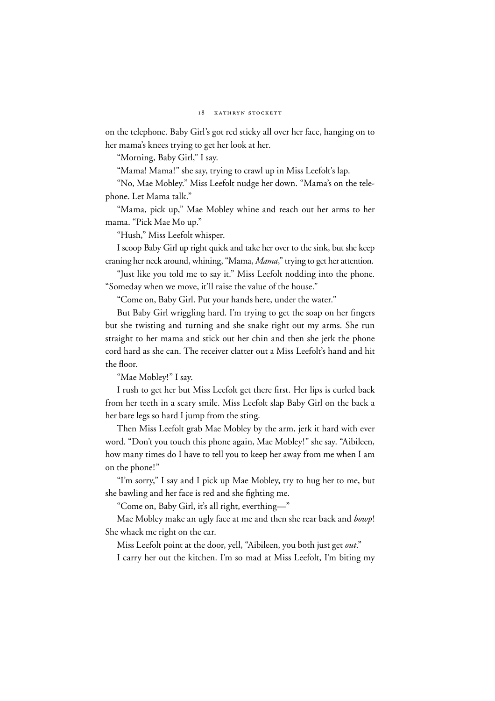on the telephone. Baby Girl's got red sticky all over her face, hanging on to her mama's knees trying to get her look at her.

"Morning, Baby Girl," I say.

"Mama! Mama!" she say, trying to crawl up in Miss Leefolt's lap.

"No, Mae Mobley." Miss Leefolt nudge her down. "Mama's on the telephone. Let Mama talk."

"Mama, pick up," Mae Mobley whine and reach out her arms to her mama. "Pick Mae Mo up."

"Hush," Miss Leefolt whisper.

I scoop Baby Girl up right quick and take her over to the sink, but she keep craning her neck around, whining, "Mama, *Mama*," trying to get her attention.

"Just like you told me to say it." Miss Leefolt nodding into the phone. "Someday when we move, it'll raise the value of the house."

"Come on, Baby Girl. Put your hands here, under the water."

But Baby Girl wriggling hard. I'm trying to get the soap on her fingers but she twisting and turning and she snake right out my arms. She run straight to her mama and stick out her chin and then she jerk the phone cord hard as she can. The receiver clatter out a Miss Leefolt's hand and hit the floor.

"Mae Mobley!" I say.

I rush to get her but Miss Leefolt get there first. Her lips is curled back from her teeth in a scary smile. Miss Leefolt slap Baby Girl on the back a her bare legs so hard I jump from the sting.

Then Miss Leefolt grab Mae Mobley by the arm, jerk it hard with ever word. "Don't you touch this phone again, Mae Mobley!" she say. "Aibileen, how many times do I have to tell you to keep her away from me when I am on the phone!"

"I'm sorry," I say and I pick up Mae Mobley, try to hug her to me, but she bawling and her face is red and she fighting me.

"Come on, Baby Girl, it's all right, everthing— "

Mae Mobley make an ugly face at me and then she rear back and *bowp*! She whack me right on the ear.

Miss Leefolt point at the door, yell, "Aibileen, you both just get *out*."

I carry her out the kitchen. I'm so mad at Miss Leefolt, I'm biting my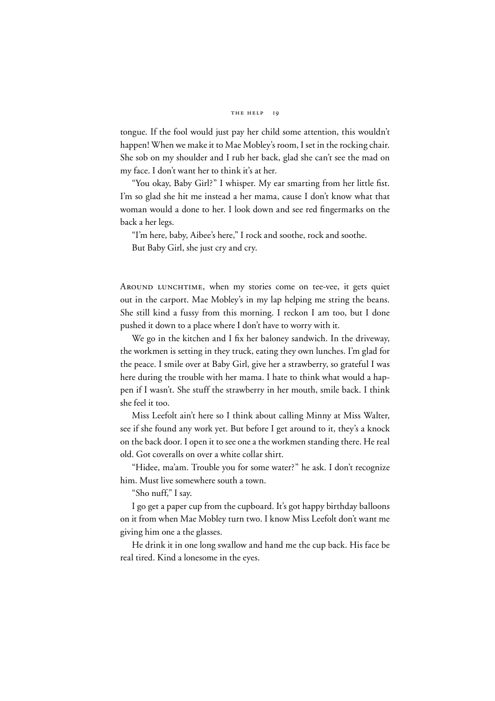tongue. If the fool would just pay her child some attention, this wouldn't happen! When we make it to Mae Mobley's room, I set in the rocking chair. She sob on my shoulder and I rub her back, glad she can't see the mad on my face. I don't want her to think it's at her.

"You okay, Baby Girl?" I whisper. My ear smarting from her little fist. I'm so glad she hit me instead a her mama, cause I don't know what that woman would a done to her. I look down and see red fingermarks on the back a her legs.

"I'm here, baby, Aibee's here," I rock and soothe, rock and soothe. But Baby Girl, she just cry and cry.

AROUND LUNCHTIME, when my stories come on tee-vee, it gets quiet out in the carport. Mae Mobley's in my lap helping me string the beans. She still kind a fussy from this morning. I reckon I am too, but I done pushed it down to a place where I don't have to worry with it.

We go in the kitchen and I fix her baloney sandwich. In the driveway, the workmen is setting in they truck, eating they own lunches. I'm glad for the peace. I smile over at Baby Girl, give her a strawberry, so grateful I was here during the trouble with her mama. I hate to think what would a happen if I wasn't. She stuff the strawberry in her mouth, smile back. I think she feel it too.

Miss Leefolt ain't here so I think about calling Minny at Miss Walter, see if she found any work yet. But before I get around to it, they's a knock on the back door. I open it to see one a the workmen standing there. He real old. Got coveralls on over a white collar shirt.

"Hidee, ma'am. Trouble you for some water?" he ask. I don't recognize him. Must live somewhere south a town.

"Sho nuff," I say.

I go get a paper cup from the cupboard. It's got happy birthday balloons on it from when Mae Mobley turn two. I know Miss Leefolt don't want me giving him one a the glasses.

He drink it in one long swallow and hand me the cup back. His face be real tired. Kind a lonesome in the eyes.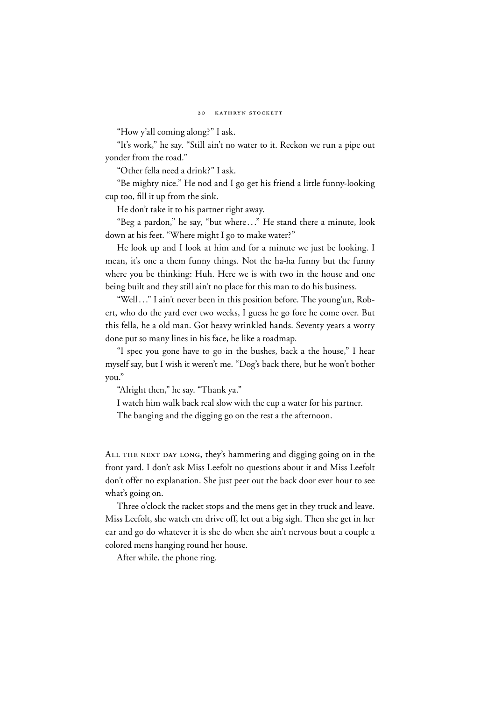"How y'all coming along?" I ask.

"It's work," he say. "Still ain't no water to it. Reckon we run a pipe out yonder from the road."

"Other fella need a drink?" I ask.

"Be mighty nice." He nod and I go get his friend a little funny- looking cup too, fill it up from the sink.

He don't take it to his partner right away.

"Beg a pardon," he say, "but where . . ." He stand there a minute, look down at his feet. "Where might I go to make water?"

He look up and I look at him and for a minute we just be looking. I mean, it's one a them funny things. Not the ha-ha funny but the funny where you be thinking: Huh. Here we is with two in the house and one being built and they still ain't no place for this man to do his business.

"Well . . ." I ain't never been in this position before. The young'un, Robert, who do the yard ever two weeks, I guess he go fore he come over. But this fella, he a old man. Got heavy wrinkled hands. Seventy years a worry done put so many lines in his face, he like a roadmap.

"I spec you gone have to go in the bushes, back a the house," I hear myself say, but I wish it weren't me. "Dog's back there, but he won't bother you."

"Alright then," he say. "Thank ya."

I watch him walk back real slow with the cup a water for his partner.

The banging and the digging go on the rest a the afternoon.

ALL THE NEXT DAY LONG, they's hammering and digging going on in the front yard. I don't ask Miss Leefolt no questions about it and Miss Leefolt don't offer no explanation. She just peer out the back door ever hour to see what's going on.

Three o'clock the racket stops and the mens get in they truck and leave. Miss Leefolt, she watch em drive off, let out a big sigh. Then she get in her car and go do whatever it is she do when she ain't nervous bout a couple a colored mens hanging round her house.

After while, the phone ring.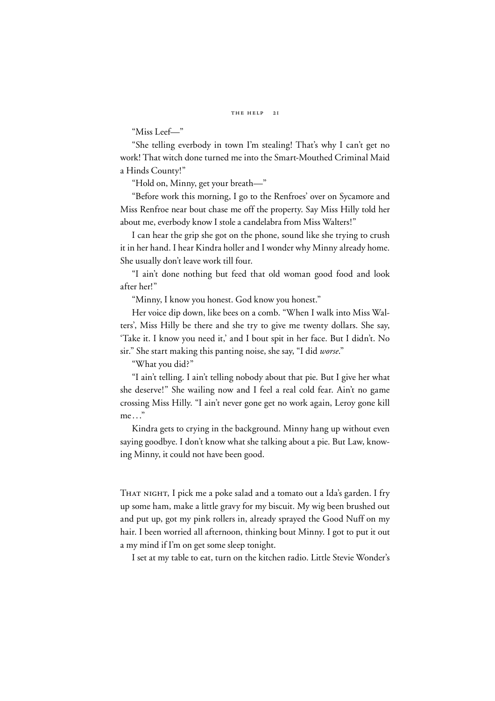"Miss Leef— "

"She telling everbody in town I'm stealing! That's why I can't get no work! That witch done turned me into the Smart- Mouthed Criminal Maid a Hinds County!"

"Hold on, Minny, get your breath— "

"Before work this morning, I go to the Renfroes' over on Sycamore and Miss Renfroe near bout chase me off the property. Say Miss Hilly told her about me, everbody know I stole a candelabra from Miss Walters!"

I can hear the grip she got on the phone, sound like she trying to crush it in her hand. I hear Kindra holler and I wonder why Minny already home. She usually don't leave work till four.

"I ain't done nothing but feed that old woman good food and look after her!"

"Minny, I know you honest. God know you honest."

Her voice dip down, like bees on a comb. "When I walk into Miss Walters', Miss Hilly be there and she try to give me twenty dollars. She say, 'Take it. I know you need it,' and I bout spit in her face. But I didn't. No sir." She start making this panting noise, she say, "I did *worse*."

"What you did?"

"I ain't telling. I ain't telling nobody about that pie. But I give her what she deserve!" She wailing now and I feel a real cold fear. Ain't no game crossing Miss Hilly. "I ain't never gone get no work again, Leroy gone kill me . . ."

Kindra gets to crying in the background. Minny hang up without even saying goodbye. I don't know what she talking about a pie. But Law, knowing Minny, it could not have been good.

THAT NIGHT, I pick me a poke salad and a tomato out a Ida's garden. I fry up some ham, make a little gravy for my biscuit. My wig been brushed out and put up, got my pink rollers in, already sprayed the Good Nuff on my hair. I been worried all afternoon, thinking bout Minny. I got to put it out a my mind if I'm on get some sleep tonight.

I set at my table to eat, turn on the kitchen radio. Little Stevie Wonder's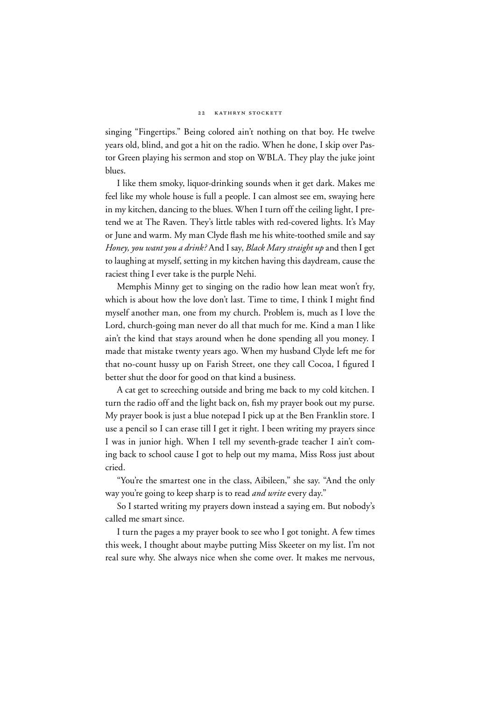singing "Fingertips." Being colored ain't nothing on that boy. He twelve years old, blind, and got a hit on the radio. When he done, I skip over Pastor Green playing his sermon and stop on WBLA. They play the juke joint blues.

I like them smoky, liquor- drinking sounds when it get dark. Makes me feel like my whole house is full a people. I can almost see em, swaying here in my kitchen, dancing to the blues. When I turn off the ceiling light, I pretend we at The Raven. They's little tables with red- covered lights. It's May or June and warm. My man Clyde flash me his white-toothed smile and say *Honey, you want you a drink?* And I say, *Black Mary straight up* and then I get to laughing at myself, setting in my kitchen having this daydream, cause the raciest thing I ever take is the purple Nehi.

Memphis Minny get to singing on the radio how lean meat won't fry, which is about how the love don't last. Time to time, I think I might find myself another man, one from my church. Problem is, much as I love the Lord, church-going man never do all that much for me. Kind a man I like ain't the kind that stays around when he done spending all you money. I made that mistake twenty years ago. When my husband Clyde left me for that no-count hussy up on Farish Street, one they call Cocoa, I figured I better shut the door for good on that kind a business.

A cat get to screeching outside and bring me back to my cold kitchen. I turn the radio off and the light back on, fish my prayer book out my purse. My prayer book is just a blue notepad I pick up at the Ben Franklin store. I use a pencil so I can erase till I get it right. I been writing my prayers since I was in junior high. When I tell my seventh-grade teacher I ain't coming back to school cause I got to help out my mama, Miss Ross just about cried.

"You're the smartest one in the class, Aibileen," she say. "And the only way you're going to keep sharp is to read *and write* every day."

So I started writing my prayers down instead a saying em. But nobody's called me smart since.

I turn the pages a my prayer book to see who I got tonight. A few times this week, I thought about maybe putting Miss Skeeter on my list. I'm not real sure why. She always nice when she come over. It makes me nervous,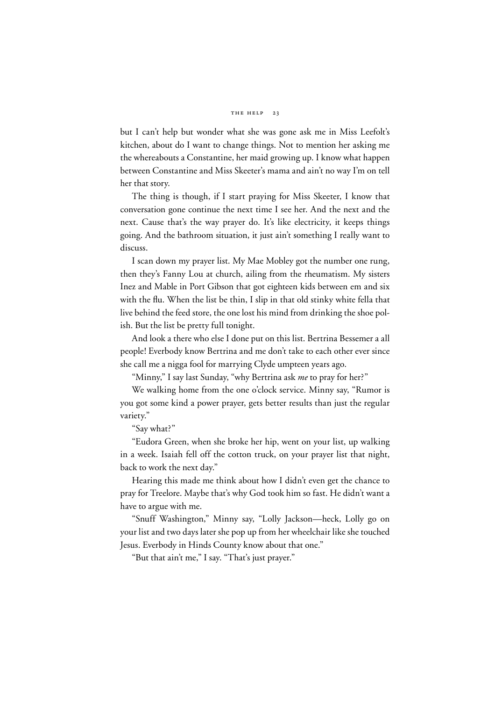but I can't help but wonder what she was gone ask me in Miss Leefolt's kitchen, about do I want to change things. Not to mention her asking me the whereabouts a Constantine, her maid growing up. I know what happen between Constantine and Miss Skeeter's mama and ain't no way I'm on tell her that story.

The thing is though, if I start praying for Miss Skeeter, I know that conversation gone continue the next time I see her. And the next and the next. Cause that's the way prayer do. It's like electricity, it keeps things going. And the bathroom situation, it just ain't something I really want to discuss.

I scan down my prayer list. My Mae Mobley got the number one rung, then they's Fanny Lou at church, ailing from the rheumatism. My sisters Inez and Mable in Port Gibson that got eighteen kids between em and six with the flu. When the list be thin, I slip in that old stinky white fella that live behind the feed store, the one lost his mind from drinking the shoe polish. But the list be pretty full tonight.

And look a there who else I done put on this list. Bertrina Bessemer a all people! Everbody know Bertrina and me don't take to each other ever since she call me a nigga fool for marrying Clyde umpteen years ago.

"Minny," I say last Sunday, "why Bertrina ask *me* to pray for her?"

We walking home from the one o'clock service. Minny say, "Rumor is you got some kind a power prayer, gets better results than just the regular variety."

"Say what?"

"Eudora Green, when she broke her hip, went on your list, up walking in a week. Isaiah fell off the cotton truck, on your prayer list that night, back to work the next day."

Hearing this made me think about how I didn't even get the chance to pray for Treelore. Maybe that's why God took him so fast. He didn't want a have to argue with me.

"Snuff Washington," Minny say, "Lolly Jackson— heck, Lolly go on your list and two days later she pop up from her wheelchair like she touched Jesus. Everbody in Hinds County know about that one."

"But that ain't me," I say. "That's just prayer."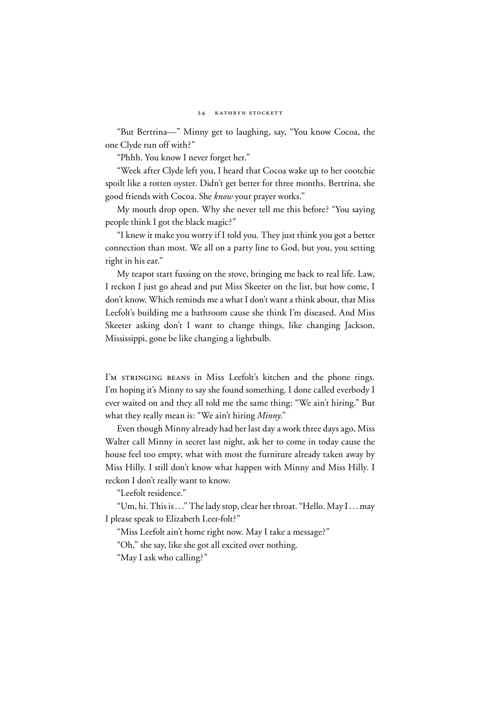"But Bertrina— " Minny get to laughing, say, "You know Cocoa, the one Clyde run off with?"

"Phhh. You know I never forget her."

"Week after Clyde left you, I heard that Cocoa wake up to her cootchie spoilt like a rotten oyster. Didn't get better for three months. Bertrina, she good friends with Cocoa. She *know* your prayer works."

My mouth drop open. Why she never tell me this before? "You saying people think I got the black magic?"

"I knew it make you worry if I told you. They just think you got a better connection than most. We all on a party line to God, but you, you setting right in his ear."

My teapot start fussing on the stove, bringing me back to real life. Law, I reckon I just go ahead and put Miss Skeeter on the list, but how come, I don't know. Which reminds me a what I don't want a think about, that Miss Leefolt's building me a bathroom cause she think I'm diseased. And Miss Skeeter asking don't I want to change things, like changing Jackson, Mississippi, gone be like changing a lightbulb.

I'm STRINGING BEANS in Miss Leefolt's kitchen and the phone rings. I'm hoping it's Minny to say she found something. I done called everbody I ever waited on and they all told me the same thing: "We ain't hiring." But what they really mean is: "We ain't hiring *Minny*."

Even though Minny already had her last day a work three days ago, Miss Walter call Minny in secret last night, ask her to come in today cause the house feel too empty, what with most the furniture already taken away by Miss Hilly. I still don't know what happen with Minny and Miss Hilly. I reckon I don't really want to know.

"Leefolt residence."

"Um, hi. This is . . ." The lady stop, clear her throat. "Hello. May I . . . may I please speak to Elizabeth Leer-folt?"

"Miss Leefolt ain't home right now. May I take a message?"

"Oh," she say, like she got all excited over nothing.

"May I ask who calling?"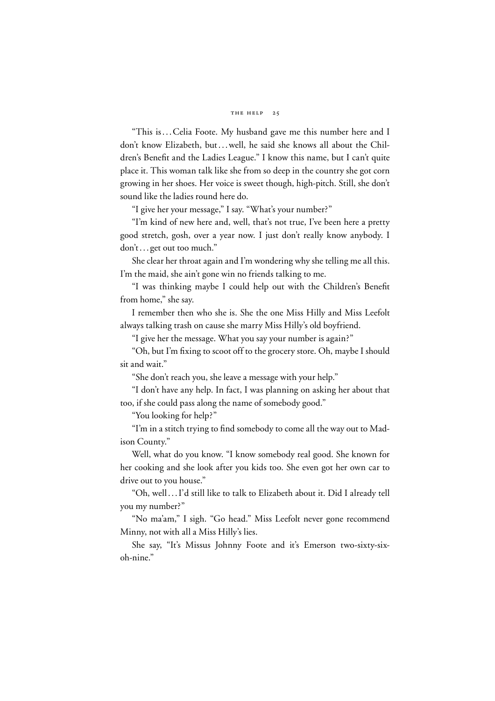"This is . . . Celia Foote. My husband gave me this number here and I don't know Elizabeth, but . . . well, he said she knows all about the Children's Benefit and the Ladies League." I know this name, but I can't quite place it. This woman talk like she from so deep in the country she got corn growing in her shoes. Her voice is sweet though, high- pitch. Still, she don't sound like the ladies round here do.

"I give her your message," I say. "What's your number?"

"I'm kind of new here and, well, that's not true, I've been here a pretty good stretch, gosh, over a year now. I just don't really know anybody. I don't ... get out too much."

She clear her throat again and I'm wondering why she telling me all this. I'm the maid, she ain't gone win no friends talking to me.

"I was thinking maybe I could help out with the Children's Benefit from home," she say.

I remember then who she is. She the one Miss Hilly and Miss Leefolt always talking trash on cause she marry Miss Hilly's old boyfriend.

"I give her the message. What you say your number is again?"

"Oh, but I'm fixing to scoot off to the grocery store. Oh, maybe I should sit and wait."

"She don't reach you, she leave a message with your help."

"I don't have any help. In fact, I was planning on asking her about that too, if she could pass along the name of somebody good."

"You looking for help?"

"I'm in a stitch trying to find somebody to come all the way out to Madison County."

Well, what do you know. "I know somebody real good. She known for her cooking and she look after you kids too. She even got her own car to drive out to you house."

"Oh, well . . . I'd still like to talk to Elizabeth about it. Did I already tell you my number?"

"No ma'am," I sigh. "Go head." Miss Leefolt never gone recommend Minny, not with all a Miss Hilly's lies.

She say, "It's Missus Johnny Foote and it's Emerson two-sixty-sixoh- nine."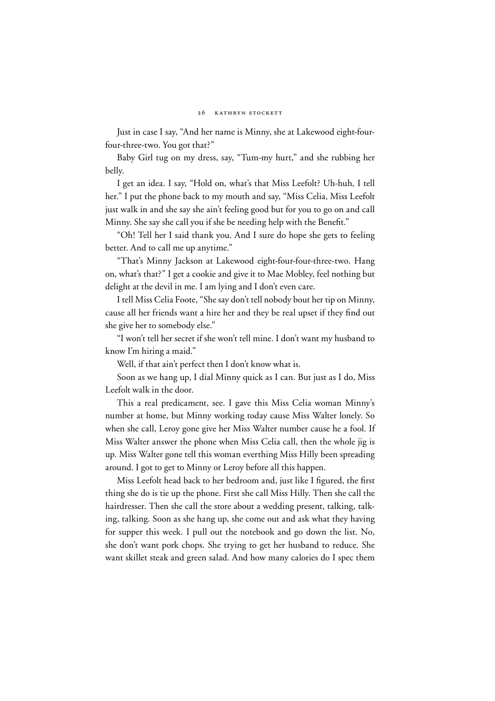Just in case I say, "And her name is Minny, she at Lakewood eight-fourfour-three-two. You got that?"

Baby Girl tug on my dress, say, "Tum-my hurt," and she rubbing her belly.

I get an idea. I say, "Hold on, what's that Miss Leefolt? Uh-huh, I tell her." I put the phone back to my mouth and say, "Miss Celia, Miss Leefolt just walk in and she say she ain't feeling good but for you to go on and call Minny. She say she call you if she be needing help with the Benefit."

"Oh! Tell her I said thank you. And I sure do hope she gets to feeling better. And to call me up anytime."

"That's Minny Jackson at Lakewood eight-four-four-three-two. Hang on, what's that?" I get a cookie and give it to Mae Mobley, feel nothing but delight at the devil in me. I am lying and I don't even care.

I tell Miss Celia Foote, "She say don't tell nobody bout her tip on Minny, cause all her friends want a hire her and they be real upset if they find out she give her to somebody else."

"I won't tell her secret if she won't tell mine. I don't want my husband to know I'm hiring a maid."

Well, if that ain't perfect then I don't know what is.

Soon as we hang up, I dial Minny quick as I can. But just as I do, Miss Leefolt walk in the door.

This a real predicament, see. I gave this Miss Celia woman Minny's number at home, but Minny working today cause Miss Walter lonely. So when she call, Leroy gone give her Miss Walter number cause he a fool. If Miss Walter answer the phone when Miss Celia call, then the whole jig is up. Miss Walter gone tell this woman everthing Miss Hilly been spreading around. I got to get to Minny or Leroy before all this happen.

Miss Leefolt head back to her bedroom and, just like I figured, the first thing she do is tie up the phone. First she call Miss Hilly. Then she call the hairdresser. Then she call the store about a wedding present, talking, talking, talking. Soon as she hang up, she come out and ask what they having for supper this week. I pull out the notebook and go down the list. No, she don't want pork chops. She trying to get her husband to reduce. She want skillet steak and green salad. And how many calories do I spec them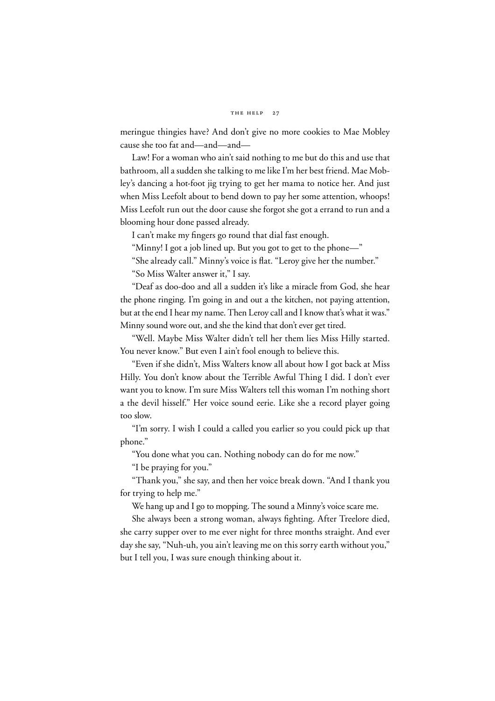meringue thingies have? And don't give no more cookies to Mae Mobley cause she too fat and— and— and—

Law! For a woman who ain't said nothing to me but do this and use that bathroom, all a sudden she talking to me like I'm her best friend. Mae Mobley's dancing a hot-foot jig trying to get her mama to notice her. And just when Miss Leefolt about to bend down to pay her some attention, whoops! Miss Leefolt run out the door cause she forgot she got a errand to run and a blooming hour done passed already.

I can't make my fingers go round that dial fast enough.

"Minny! I got a job lined up. But you got to get to the phone— "

"She already call." Minny's voice is flat. "Leroy give her the number."

"So Miss Walter answer it," I say.

"Deaf as doo- doo and all a sudden it's like a miracle from God, she hear the phone ringing. I'm going in and out a the kitchen, not paying attention, but at the end I hear my name. Then Leroy call and I know that's what it was." Minny sound wore out, and she the kind that don't ever get tired.

"Well. Maybe Miss Walter didn't tell her them lies Miss Hilly started. You never know." But even I ain't fool enough to believe this.

"Even if she didn't, Miss Walters know all about how I got back at Miss Hilly. You don't know about the Terrible Awful Thing I did. I don't ever want you to know. I'm sure Miss Walters tell this woman I'm nothing short a the devil hisself." Her voice sound eerie. Like she a record player going too slow.

"I'm sorry. I wish I could a called you earlier so you could pick up that phone."

"You done what you can. Nothing nobody can do for me now."

"I be praying for you."

"Thank you," she say, and then her voice break down. "And I thank you for trying to help me."

We hang up and I go to mopping. The sound a Minny's voice scare me.

She always been a strong woman, always fighting. After Treelore died, she carry supper over to me ever night for three months straight. And ever day she say, "Nuh-uh, you ain't leaving me on this sorry earth without you," but I tell you, I was sure enough thinking about it.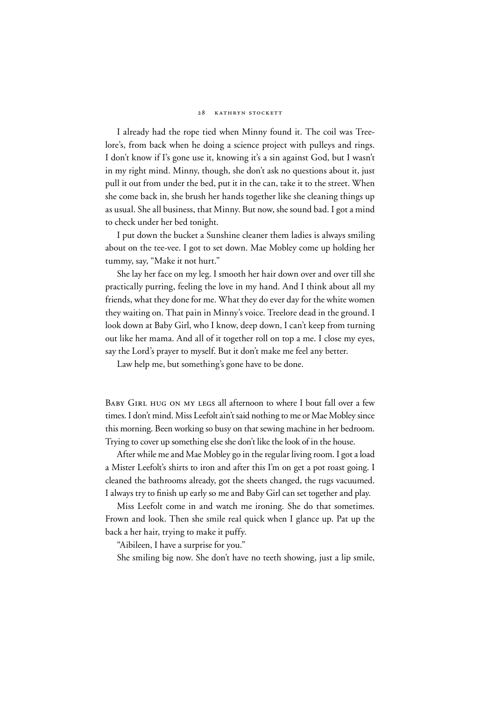I already had the rope tied when Minny found it. The coil was Treelore's, from back when he doing a science project with pulleys and rings. I don't know if I's gone use it, knowing it's a sin against God, but I wasn't in my right mind. Minny, though, she don't ask no questions about it, just pull it out from under the bed, put it in the can, take it to the street. When she come back in, she brush her hands together like she cleaning things up as usual. She all business, that Minny. But now, she sound bad. I got a mind to check under her bed tonight.

I put down the bucket a Sunshine cleaner them ladies is always smiling about on the tee-vee. I got to set down. Mae Mobley come up holding her tummy, say, "Make it not hurt."

She lay her face on my leg. I smooth her hair down over and over till she practically purring, feeling the love in my hand. And I think about all my friends, what they done for me. What they do ever day for the white women they waiting on. That pain in Minny's voice. Treelore dead in the ground. I look down at Baby Girl, who I know, deep down, I can't keep from turning out like her mama. And all of it together roll on top a me. I close my eyes, say the Lord's prayer to myself. But it don't make me feel any better.

Law help me, but something's gone have to be done.

Baby Girl hug on my legs all afternoon to where I bout fall over a few times. I don't mind. Miss Leefolt ain't said nothing to me or Mae Mobley since this morning. Been working so busy on that sewing machine in her bedroom. Trying to cover up something else she don't like the look of in the house.

After while me and Mae Mobley go in the regular living room. I got a load a Mister Leefolt's shirts to iron and after this I'm on get a pot roast going. I cleaned the bathrooms already, got the sheets changed, the rugs vacuumed. I always try to finish up early so me and Baby Girl can set together and play.

Miss Leefolt come in and watch me ironing. She do that sometimes. Frown and look. Then she smile real quick when I glance up. Pat up the back a her hair, trying to make it puffy.

"Aibileen, I have a surprise for you."

She smiling big now. She don't have no teeth showing, just a lip smile,